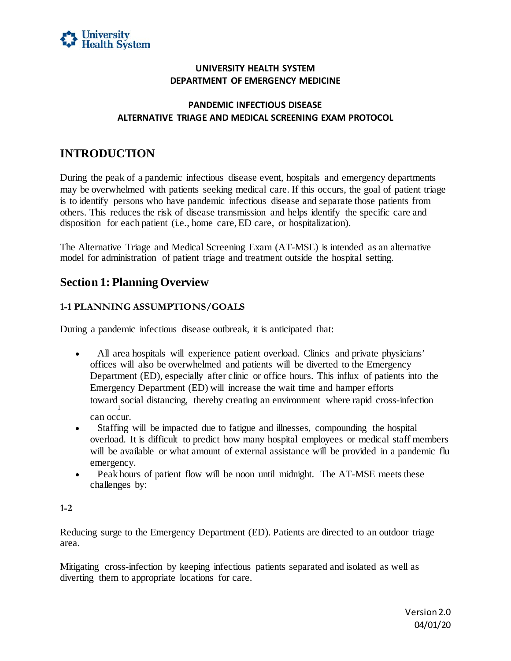

# **UNIVERSITY HEALTH SYSTEM DEPARTMENT OF EMERGENCY MEDICINE**

## **PANDEMIC INFECTIOUS DISEASE ALTERNATIVE TRIAGE AND MEDICAL SCREENING EXAM PROTOCOL**

# **INTRODUCTION**

 During the peak of a pandemic infectious disease event, hospitals and emergency departments may be overwhelmed with patients seeking medical care. If this occurs, the goal of patient triage is to identify persons who have pandemic infectious disease and separate those patients from others. This reduces the risk of disease transmission and helps identify the specific care and disposition for each patient (i.e., home care, ED care, or hospitalization).

 The Alternative Triage and Medical Screening Exam (AT-MSE) is intended as an alternative model for administration of patient triage and treatment outside the hospital setting.

# **Section 1: Planning Overview**

# **1-1 PLANNING ASSUMPTIONS/GOALS**

During a pandemic infectious disease outbreak, it is anticipated that:

- All area hospitals will experience patient overload. Clinics and private physicians' offices will also be overwhelmed and patients will be diverted to the Emergency Department (ED), especially after clinic or office hours. This influx of patients into the Emergency Department (ED) will increase the wait time and hamper efforts toward social distancing, thereby creating an environment where rapid cross-infection 1 can occur.
- overload. It is difficult to predict how many hospital employees or medical staff members will be available or what amount of external assistance will be provided in a pandemic flu • Staffing will be impacted due to fatigue and illnesses, compounding the hospital emergency.
- Peak hours of patient flow will be noon until midnight. The AT-MSE meets these challenges by:

#### **1-2**

 Reducing surge to the Emergency Department (ED). Patients are directed to an outdoor triage area.

 Mitigating cross-infection by keeping infectious patients separated and isolated as well as diverting them to appropriate locations for care.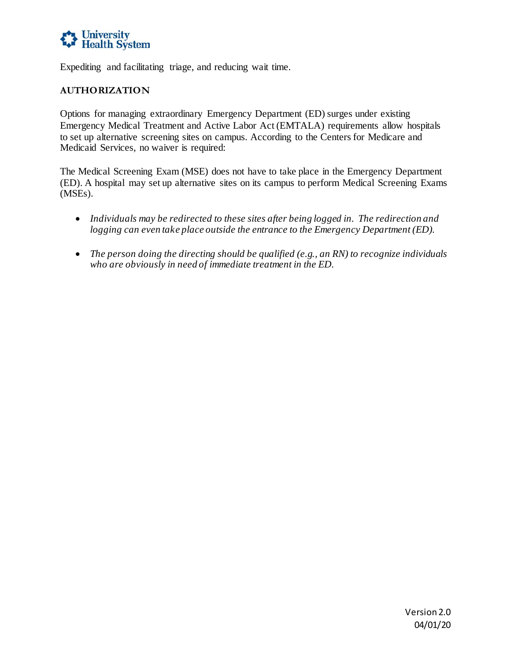

Expediting and facilitating triage, and reducing wait time.

## **AUTHORIZATION**

 Options for managing extraordinary Emergency Department (ED) surges under existing Emergency Medical Treatment and Active Labor Act (EMTALA) requirements allow hospitals to set up alternative screening sites on campus. According to the Centers for Medicare and Medicaid Services, no waiver is required:

 The Medical Screening Exam (MSE) does not have to take place in the Emergency Department (ED). A hospital may set up alternative sites on its campus to perform Medical Screening Exams (MSEs).

- *Individuals may be redirected to these sites after being logged in. The redirection and logging can even take place outside the entrance to the Emergency Department (ED).*
- *The person doing the directing should be qualified (e.g., an RN) to recognize individuals who are obviously in need of immediate treatment in the ED.*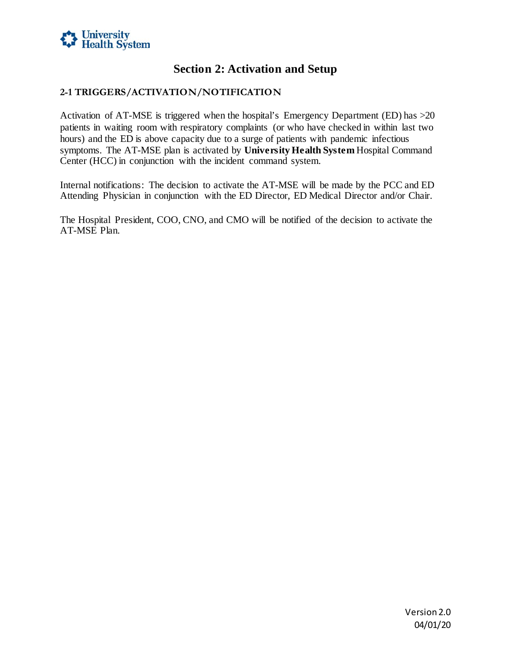

# **Section 2: Activation and Setup**

## **2-1 TRIGGERS/ACTIVATION/NOTIFICATION**

 Activation of AT-MSE is triggered when the hospital's Emergency Department (ED) has >20 hours) and the ED is above capacity due to a surge of patients with pandemic infectious Center (HCC) in conjunction with the incident command system. patients in waiting room with respiratory complaints (or who have checked in within last two symptoms. The AT-MSE plan is activated by **University Health System** Hospital Command

 Internal notifications: The decision to activate the AT-MSE will be made by the PCC and ED Attending Physician in conjunction with the ED Director, ED Medical Director and/or Chair.

 The Hospital President, COO, CNO, and CMO will be notified of the decision to activate the AT-MSE Plan.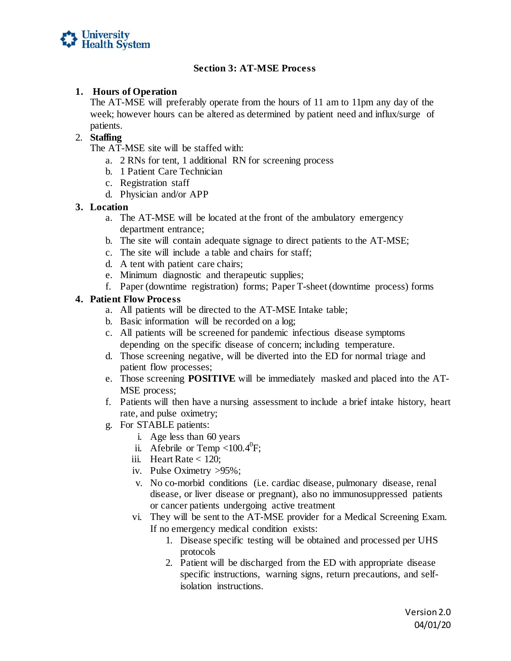

## **Section 3: AT-MSE Process**

#### **1. Hours of Operation**

 The AT-MSE will preferably operate from the hours of 11 am to 11pm any day of the week; however hours can be altered as determined by patient need and influx/surge of patients.

## 2. **Staffing**

- The AT-MSE site will be staffed with:
	- a. 2 RNs for tent, 1 additional RN for screening process
	- b. 1 Patient Care Technician
	- c. Registration staff
	- d. Physician and/or APP

#### **3. Location**

- a. The AT-MSE will be located at the front of the ambulatory emergency department entrance;
- b. The site will contain adequate signage to direct patients to the AT-MSE;
- c. The site will include a table and chairs for staff;
- d. A tent with patient care chairs;
- e. Minimum diagnostic and therapeutic supplies;
- f. Paper (downtime registration) forms; Paper T-sheet (downtime process) forms

## **4. Patient Flow Process**

- a. All patients will be directed to the AT-MSE Intake table;
- b. Basic information will be recorded on a log;
- c. All patients will be screened for pandemic infectious disease symptoms depending on the specific disease of concern; including temperature.
- d. Those screening negative, will be diverted into the ED for normal triage and patient flow processes;
- e. Those screening **POSITIVE** will be immediately masked and placed into the AT-MSE process;
- f. Patients will then have a nursing assessment to include a brief intake history, heart rate, and pulse oximetry;
- g. For STABLE patients:
	- i. Age less than 60 years
	- ii. Afebrile or Temp <100.4 $^0$ F;
	- iii. Heart Rate  $<$  120;
	- iv. Pulse Oximetry >95%;
	- v. No co-morbid conditions (i.e. cardiac disease, pulmonary disease, renal disease, or liver disease or pregnant), also no immunosuppressed patients or cancer patients undergoing active treatment
	- or cancer patients undergoing active treatment vi. They will be sent to the AT-MSE provider for a Medical Screening Exam. If no emergency medical condition exists:
		- 1. Disease specific testing will be obtained and processed per UHS protocols
		- 2. Patient will be discharged from the ED with appropriate disease isolation instructions. specific instructions, warning signs, return precautions, and self-